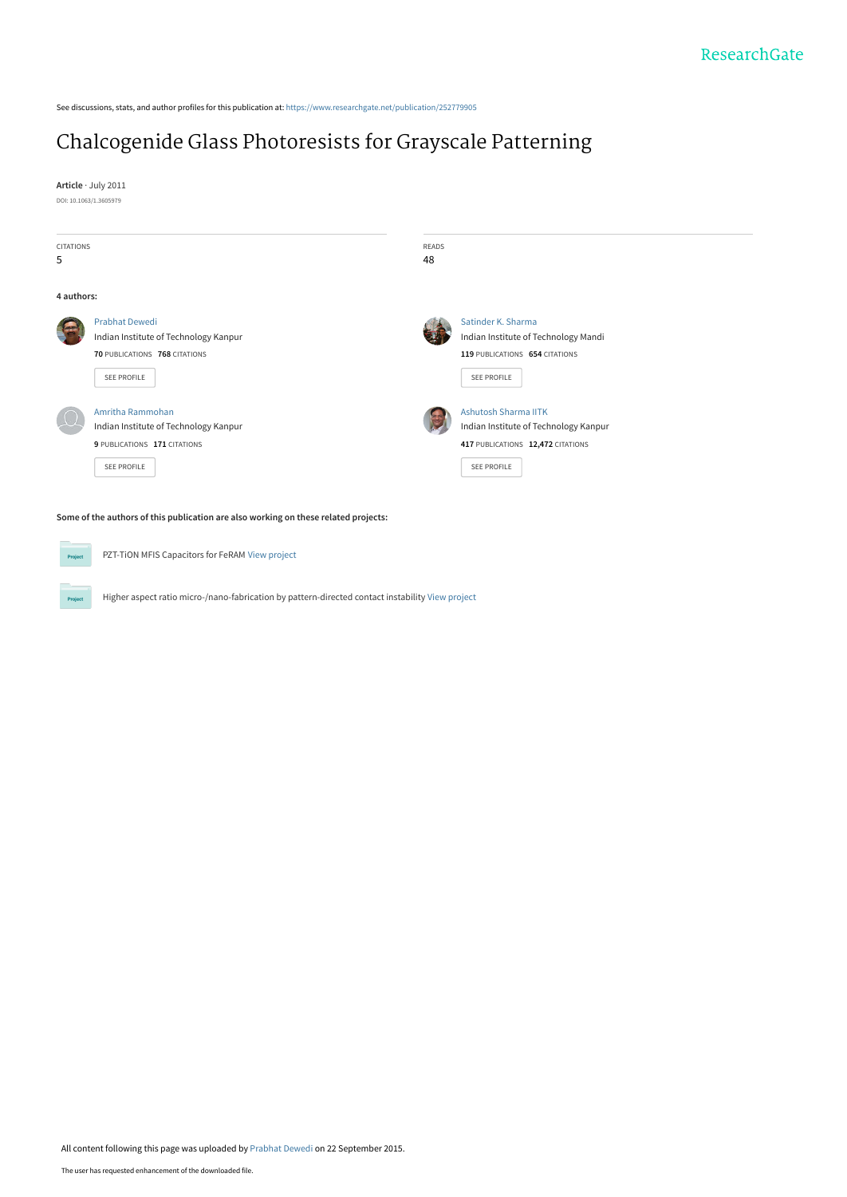See discussions, stats, and author profiles for this publication at: [https://www.researchgate.net/publication/252779905](https://www.researchgate.net/publication/252779905_Chalcogenide_Glass_Photoresists_for_Grayscale_Patterning?enrichId=rgreq-2076f34c934c6bb36da55b572738888a-XXX&enrichSource=Y292ZXJQYWdlOzI1Mjc3OTkwNTtBUzoyNzY1MzAwNTI3ODAwMzNAMTQ0Mjk0MTMxMDMwMg%3D%3D&el=1_x_2&_esc=publicationCoverPdf)

# [Chalcogenide Glass Photoresists for Grayscale Patterning](https://www.researchgate.net/publication/252779905_Chalcogenide_Glass_Photoresists_for_Grayscale_Patterning?enrichId=rgreq-2076f34c934c6bb36da55b572738888a-XXX&enrichSource=Y292ZXJQYWdlOzI1Mjc3OTkwNTtBUzoyNzY1MzAwNTI3ODAwMzNAMTQ0Mjk0MTMxMDMwMg%3D%3D&el=1_x_3&_esc=publicationCoverPdf)

**Article** · July 2011 DOI: 10.1063/1.3605979

 $P_{\rm TC}$ 



Higher aspect ratio micro-/nano-fabrication by pattern-directed contact instability [View project](https://www.researchgate.net/project/Higher-aspect-ratio-micro-nano-fabrication-by-pattern-directed-contact-instability?enrichId=rgreq-2076f34c934c6bb36da55b572738888a-XXX&enrichSource=Y292ZXJQYWdlOzI1Mjc3OTkwNTtBUzoyNzY1MzAwNTI3ODAwMzNAMTQ0Mjk0MTMxMDMwMg%3D%3D&el=1_x_9&_esc=publicationCoverPdf)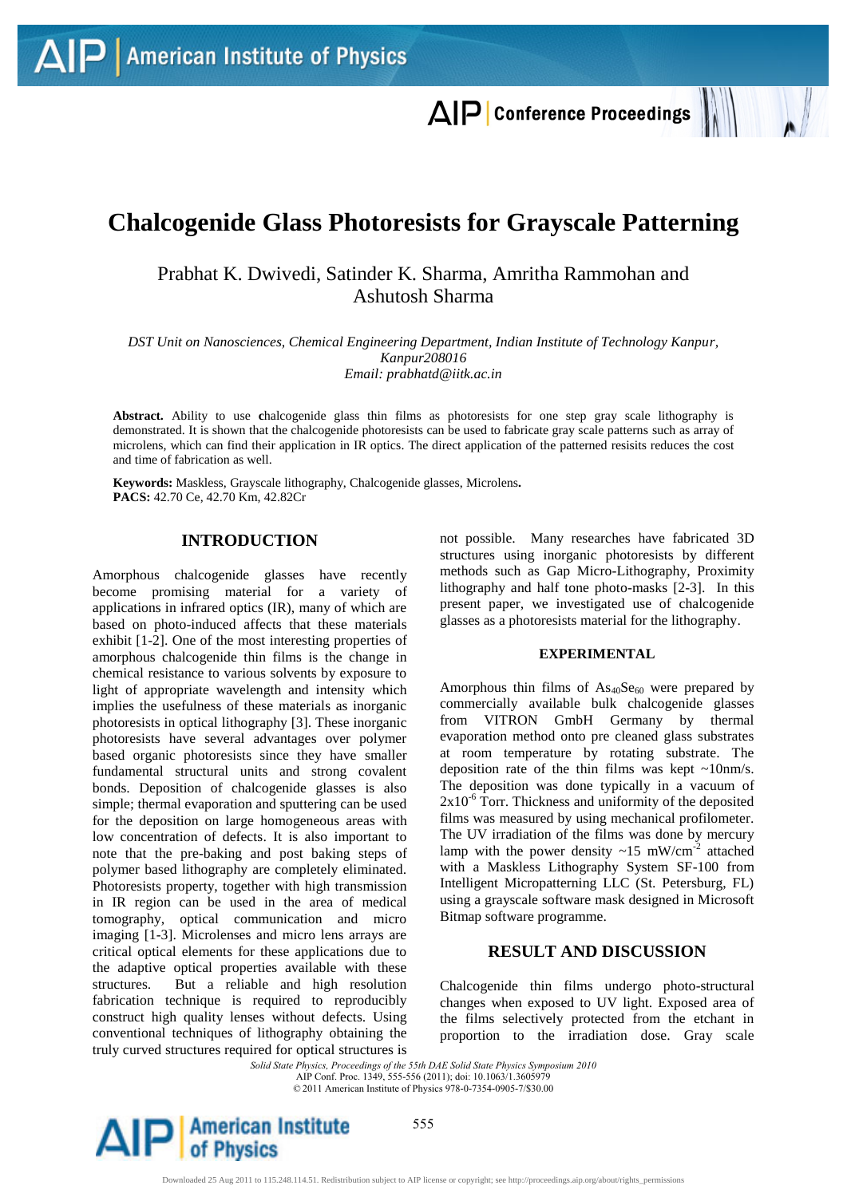# AIP Conference Proceedings

# **Chalcogenide Glass Photoresists for Grayscale Patterning**

# Prabhat K. Dwivedi, Satinder K. Sharma, Amritha Rammohan and Ashutosh Sharma

*DST Unit on Nanosciences, Chemical Engineering Department, Indian Institute of Technology Kanpur, Kanpur208016 Email: prabhatd@iitk.ac.in*

**Abstract.** Ability to use **c**halcogenide glass thin films as photoresists for one step gray scale lithography is demonstrated. It is shown that the chalcogenide photoresists can be used to fabricate gray scale patterns such as array of microlens, which can find their application in IR optics. The direct application of the patterned resisits reduces the cost and time of fabrication as well.

**Keywords:** Maskless, Grayscale lithography, Chalcogenide glasses, Microlens**. PACS:** 42.70 Ce, 42.70 Km, 42.82Cr

## **INTRODUCTION**

Amorphous chalcogenide glasses have recently become promising material for a variety of applications in infrared optics (IR), many of which are based on photo-induced affects that these materials exhibit [1-2]. One of the most interesting properties of amorphous chalcogenide thin films is the change in chemical resistance to various solvents by exposure to light of appropriate wavelength and intensity which implies the usefulness of these materials as inorganic photoresists in optical lithography [3]. These inorganic photoresists have several advantages over polymer based organic photoresists since they have smaller fundamental structural units and strong covalent bonds. Deposition of chalcogenide glasses is also simple; thermal evaporation and sputtering can be used for the deposition on large homogeneous areas with low concentration of defects. It is also important to note that the pre-baking and post baking steps of polymer based lithography are completely eliminated. Photoresists property, together with high transmission in IR region can be used in the area of medical tomography, optical communication and micro imaging [1-3]. Microlenses and micro lens arrays are critical optical elements for these applications due to the adaptive optical properties available with these structures. But a reliable and high resolution fabrication technique is required to reproducibly construct high quality lenses without defects. Using conventional techniques of lithography obtaining the truly curved structures required for optical structures is

not possible. Many researches have fabricated 3D structures using inorganic photoresists by different methods such as Gap Micro-Lithography, Proximity lithography and half tone photo-masks [2-3]. In this present paper, we investigated use of chalcogenide glasses as a photoresists material for the lithography.

#### **EXPERIMENTAL**

Amorphous thin films of  $As_{40}Se_{60}$  were prepared by commercially available bulk chalcogenide glasses from VITRON GmbH Germany by thermal evaporation method onto pre cleaned glass substrates at room temperature by rotating substrate. The deposition rate of the thin films was kept ~10nm/s. The deposition was done typically in a vacuum of  $2x10^{-6}$  Torr. Thickness and uniformity of the deposited films was measured by using mechanical profilometer. The UV irradiation of the films was done by mercury lamp with the power density  $\sim$ 15 mW/cm<sup>-2</sup> attached with a Maskless Lithography System SF-100 from Intelligent Micropatterning LLC (St. Petersburg, FL) using a grayscale software mask designed in Microsoft Bitmap software programme.

### **RESULT AND DISCUSSION**

Chalcogenide thin films undergo photo-structural changes when exposed to UV light. Exposed area of the films selectively protected from the etchant in proportion to the irradiation dose. Gray scale

*Solid State Physics, Proceedings of the 55th DAE Solid State Physics Symposium 2010*

AIP Conf. Proc. 1349, 555-556 (2011); doi: 10.1063/1.360597

© 2011 American Institute of Physics 978-0-7354-0905-7/\$30.00



555